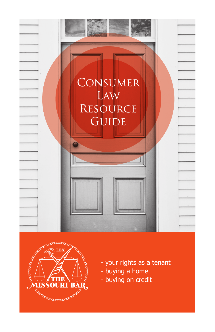



- your rights as a tenant
- buying a home
- buying on credit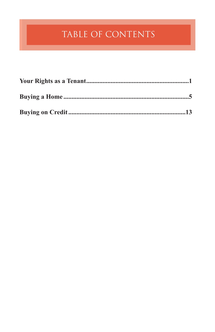# TABLE OF CONTENTS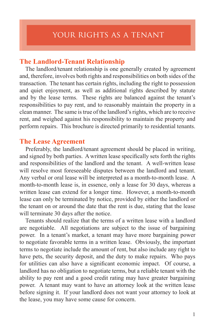## **The Landlord-Tenant Relationship**

The landlord/tenant relationship is one generally created by agreement and, therefore, involves both rights and responsibilities on both sides of the transaction. The tenant has certain rights, including the right to possession and quiet enjoyment, as well as additional rights described by statute and by the lease terms. These rights are balanced against the tenant's responsibilities to pay rent, and to reasonably maintain the property in a clean manner. The same is true of the landlord's rights, which are to receive rent, and weighed against his responsibility to maintain the property and perform repairs. This brochure is directed primarily to residential tenants.

#### **The Lease Agreement**

Preferably, the landlord/tenant agreement should be placed in writing, and signed by both parties. A written lease specifically sets forth the rights and responsibilities of the landlord and the tenant. A well-written lease will resolve most foreseeable disputes between the landlord and tenant. Any verbal or oral lease will be interpreted as a month-to-month lease. A month-to-month lease is, in essence, only a lease for 30 days, whereas a written lease can extend for a longer time. However, a month-to-month lease can only be terminated by notice, provided by either the landlord or the tenant on or around the date that the rent is due, stating that the lease will terminate 30 days after the notice.

Tenants should realize that the terms of a written lease with a landlord are negotiable. All negotiations are subject to the issue of bargaining power. In a tenant's market, a tenant may have more bargaining power to negotiate favorable terms in a written lease. Obviously, the important terms to negotiate include the amount of rent, but also include any right to have pets, the security deposit, and the duty to make repairs. Who pays for utilities can also have a significant economic impact. Of course, a landlord has no obligation to negotiate terms, but a reliable tenant with the ability to pay rent and a good credit rating may have greater bargaining power. A tenant may want to have an attorney look at the written lease before signing it. If your landlord does not want your attorney to look at the lease, you may have some cause for concern.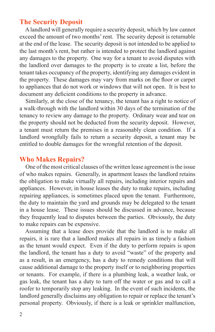# **The Security Deposit**

A landlord will generally require a security deposit, which by law cannot exceed the amount of two months' rent. The security deposit is returnable at the end of the lease. The security deposit is not intended to be applied to the last month's rent, but rather is intended to protect the landlord against any damages to the property. One way for a tenant to avoid disputes with the landlord over damages to the property is to create a list, before the tenant takes occupancy of the property, identifying any damages evident in the property. These damages may vary from marks on the floor or carpet to appliances that do not work or windows that will not open. It is best to document any deficient conditions to the property in advance.

Similarly, at the close of the tenancy, the tenant has a right to notice of a walk-through with the landlord within 30 days of the termination of the tenancy to review any damage to the property. Ordinary wear and tear on the property should not be deducted from the security deposit. However, a tenant must return the premises in a reasonably clean condition. If a landlord wrongfully fails to return a security deposit, a tenant may be entitled to double damages for the wrongful retention of the deposit.

## **Who Makes Repairs?**

One of the most critical clauses of the written lease agreement is the issue of who makes repairs. Generally, in apartment leases the landlord retains the obligation to make virtually all repairs, including interior repairs and appliances. However, in house leases the duty to make repairs, including repairing appliances, is sometimes placed upon the tenant. Furthermore, the duty to maintain the yard and grounds may be delegated to the tenant in a house lease. These issues should be discussed in advance, because they frequently lead to disputes between the parties. Obviously, the duty to make repairs can be expensive.

Assuming that a lease does provide that the landlord is to make all repairs, it is rare that a landlord makes all repairs in as timely a fashion as the tenant would expect. Even if the duty to perform repairs is upon the landlord, the tenant has a duty to avoid "waste" of the property and as a result, in an emergency, has a duty to remedy conditions that will cause additional damage to the property itself or to neighboring properties or tenants. For example, if there is a plumbing leak, a weather leak, or gas leak, the tenant has a duty to turn off the water or gas and to call a roofer to temporarily stop any leaking. In the event of such incidents, the landlord generally disclaims any obligation to repair or replace the tenant's personal property. Obviously, if there is a leak or sprinkler malfunction,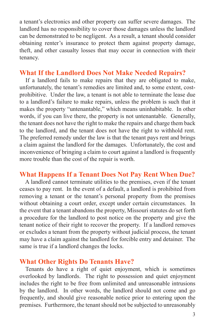a tenant's electronics and other property can suffer severe damages. The landlord has no responsibility to cover those damages unless the landlord can be demonstrated to be negligent. As a result, a tenant should consider obtaining renter's insurance to protect them against property damage, theft, and other casualty losses that may occur in connection with their tenancy.

#### **What If the Landlord Does Not Make Needed Repairs?**

If a landlord fails to make repairs that they are obligated to make, unfortunately, the tenant's remedies are limited and, to some extent, costprohibitive. Under the law, a tenant is not able to terminate the lease due to a landlord's failure to make repairs, unless the problem is such that it makes the property "untenantable," which means uninhabitable. In other words, if you can live there, the property is not untenantable. Generally, the tenant does not have the right to make the repairs and charge them back to the landlord, and the tenant does not have the right to withhold rent. The preferred remedy under the law is that the tenant pays rent and brings a claim against the landlord for the damages. Unfortunately, the cost and inconvenience of bringing a claim to court against a landlord is frequently more trouble than the cost of the repair is worth.

## **What Happens If a Tenant Does Not Pay Rent When Due?**

A landlord cannot terminate utilities to the premises, even if the tenant ceases to pay rent. In the event of a default, a landlord is prohibited from removing a tenant or the tenant's personal property from the premises without obtaining a court order, except under certain circumstances. In the event that a tenant abandons the property, Missouri statutes do set forth a procedure for the landlord to post notice on the property and give the tenant notice of their right to recover the property. If a landlord removes or excludes a tenant from the property without judicial process, the tenant may have a claim against the landlord for forcible entry and detainer. The same is true if a landlord changes the locks.

#### **What Other Rights Do Tenants Have?**

Tenants do have a right of quiet enjoyment, which is sometimes overlooked by landlords. The right to possession and quiet enjoyment includes the right to be free from unlimited and unreasonable intrusions by the landlord. In other words, the landlord should not come and go frequently, and should give reasonable notice prior to entering upon the premises. Furthermore, the tenant should not be subjected to unreasonably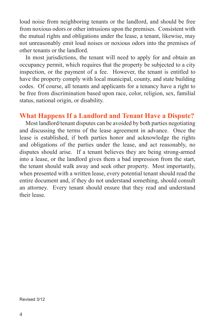loud noise from neighboring tenants or the landlord, and should be free from noxious odors or other intrusions upon the premises. Consistent with the mutual rights and obligations under the lease, a tenant, likewise, may not unreasonably emit loud noises or noxious odors into the premises of other tenants or the landlord.

In most jurisdictions, the tenant will need to apply for and obtain an occupancy permit, which requires that the property be subjected to a city inspection, or the payment of a fee. However, the tenant is entitled to have the property comply with local municipal, county, and state building codes. Of course, all tenants and applicants for a tenancy have a right to be free from discrimination based upon race, color, religion, sex, familial status, national origin, or disability.

# **What Happens If a Landlord and Tenant Have a Dispute?**

Most landlord/tenant disputes can be avoided by both parties negotiating and discussing the terms of the lease agreement in advance. Once the lease is established, if both parties honor and acknowledge the rights and obligations of the parties under the lease, and act reasonably, no disputes should arise. If a tenant believes they are being strong-armed into a lease, or the landlord gives them a bad impression from the start, the tenant should walk away and seek other property. Most importantly, when presented with a written lease, every potential tenant should read the entire document and, if they do not understand something, should consult an attorney. Every tenant should ensure that they read and understand their lease.

Revised 3/12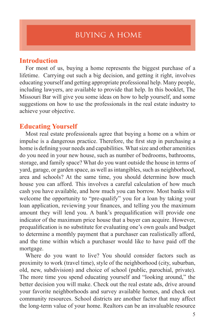## **Introduction**

For most of us, buying a home represents the biggest purchase of a lifetime. Carrying out such a big decision, and getting it right, involves educating yourself and getting appropriate professional help. Many people, including lawyers, are available to provide that help. In this booklet, The Missouri Bar will give you some ideas on how to help yourself, and some suggestions on how to use the professionals in the real estate industry to achieve your objective.

## **Educating Yourself**

Most real estate professionals agree that buying a home on a whim or impulse is a dangerous practice. Therefore, the first step in purchasing a home is defining your needs and capabilities. What size and other amenities do you need in your new house, such as number of bedrooms, bathrooms, storage, and family space? What do you want outside the house in terms of yard, garage, or garden space, as well as intangibles, such as neighborhood, area and schools? At the same time, you should determine how much house you can afford. This involves a careful calculation of how much cash you have available, and how much you can borrow. Most banks will welcome the opportunity to "pre-qualify" you for a loan by taking your loan application, reviewing your finances, and telling you the maximum amount they will lend you. A bank's prequalification will provide one indicator of the maximum price house that a buyer can acquire. However, prequalification is no substitute for evaluating one's own goals and budget to determine a monthly payment that a purchaser can realistically afford, and the time within which a purchaser would like to have paid off the mortgage.

Where do you want to live? You should consider factors such as proximity to work (travel time), style of the neighborhood (city, suburban, old, new, subdivision) and choice of school (public, parochial, private). The more time you spend educating yourself and "looking around," the better decision you will make. Check out the real estate ads, drive around your favorite neighborhoods and survey available homes, and check out community resources. School districts are another factor that may affect the long-term value of your home. Realtors can be an invaluable resource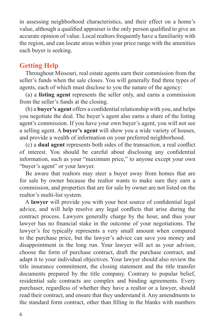in assessing neighborhood characteristics, and their effect on a home's value, although a qualified appraiser is the only person qualified to give an accurate opinion of value. Local realtors frequently have a familiarity with the region, and can locate areas within your price range with the amenities each buyer is seeking.

# **Getting Help**

Throughout Missouri, real estate agents earn their commission from the seller's funds when the sale closes. You will generally find three types of agents, each of which must disclose to you the nature of the agency:

(a) a **listing agent** represents the seller only, and earns a commission from the seller's funds at the closing.

(b) a **buyer's agent** offers a confidential relationship with you, and helps you negotiate the deal. The buyer's agent also earns a share of the listing agent's commission. If you have your own buyer's agent, you will not see a selling agent. A **buyer's agent** will show you a wide variety of houses, and provide a wealth of information on your preferred neighborhood.

(c) a **dual agent** represents both sides of the transaction, a real conflict of interest. You should be careful about disclosing any confidential information, such as your "maximum price," to anyone except your own "buyer's agent" or your lawyer.

Be aware that realtors may steer a buyer away from homes that are for sale by owner because the realtor wants to make sure they earn a commission, and properties that are for sale by owner are not listed on the realtor's multi-list system.

A **lawyer** will provide you with your best source of confidential legal advice, and will help resolve any legal conflicts that arise during the contract process. Lawyers generally charge by the hour, and thus your lawyer has no financial stake in the outcome of your negotiations. The lawyer's fee typically represents a very small amount when compared to the purchase price, but the lawyer's advice can save you money and disappointment in the long run. Your lawyer will act as your advisor, choose the form of purchase contract, draft the purchase contract, and adapt it to your individual objectives. Your lawyer should also review the title insurance commitment, the closing statement and the title transfer documents prepared by the title company. Contrary to popular belief, residential sale contracts are complex and binding agreements. Every purchaser, regardless of whether they have a realtor or a lawyer, should read their contract, and ensure that they understand it. Any amendments to the standard form contract, other than filling in the blanks with numbers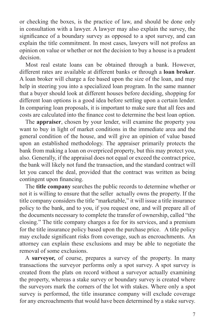or checking the boxes, is the practice of law, and should be done only in consultation with a lawyer. A lawyer may also explain the survey, the significance of a boundary survey as opposed to a spot survey, and can explain the title commitment. In most cases, lawyers will not profess an opinion on value or whether or not the decision to buy a house is a prudent decision.

Most real estate loans can be obtained through a bank. However, different rates are available at different banks or through a **loan broker**. A loan broker will charge a fee based upon the size of the loan, and may help in steering you into a specialized loan program. In the same manner that a buyer should look at different houses before deciding, shopping for different loan options is a good idea before settling upon a certain lender. In comparing loan proposals, it is important to make sure that all fees and costs are calculated into the finance cost to determine the best loan option.

The **appraiser**, chosen by your lender, will examine the property you want to buy in light of market conditions in the immediate area and the general condition of the house, and will give an opinion of value based upon an established methodology. The appraiser primarily protects the bank from making a loan on overpriced property, but this may protect you, also. Generally, if the appraisal does not equal or exceed the contract price, the bank will likely not fund the transaction, and the standard contract will let you cancel the deal, provided that the contract was written as being contingent upon financing.

The **title company** searches the public records to determine whether or not it is willing to ensure that the seller actually owns the property. If the title company considers the title "marketable," it will issue a title insurance policy to the bank, and to you, if you request one, and will prepare all of the documents necessary to complete the transfer of ownership, called "the closing." The title company charges a fee for its services, and a premium for the title insurance policy based upon the purchase price. A title policy may exclude significant risks from coverage, such as encroachments. An attorney can explain these exclusions and may be able to negotiate the removal of some exclusions.

A **surveyor,** of course, prepares a survey of the property. In many transactions the surveyor performs only a spot survey. A spot survey is created from the plats on record without a surveyor actually examining the property, whereas a stake survey or boundary survey is created where the surveyors mark the corners of the lot with stakes. Where only a spot survey is performed, the title insurance company will exclude coverage for any encroachments that would have been determined by a stake survey.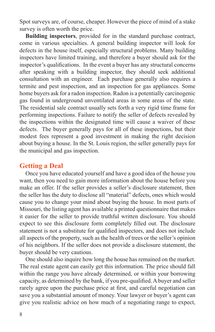Spot surveys are, of course, cheaper. However the piece of mind of a stake survey is often worth the price.

**Building inspectors**, provided for in the standard purchase contract, come in various specialties. A general building inspector will look for defects in the house itself, especially structural problems. Many building inspectors have limited training, and therefore a buyer should ask for the inspector's qualifications. In the event a buyer has any structural concerns after speaking with a building inspector, they should seek additional consultation with an engineer. Each purchase generally also requires a termite and pest inspection, and an inspection for gas appliances. Some home buyers ask for a radon inspection. Radon is a potentially carcinogenic gas found in underground unventilated areas in some areas of the state. The residential sale contract usually sets forth a very rigid time frame for performing inspections. Failure to notify the seller of defects revealed by the inspections within the designated time will cause a waiver of these defects. The buyer generally pays for all of these inspections, but their modest fees represent a good investment in making the right decision about buying a house. In the St. Louis region, the seller generally pays for the municipal and gas inspection.

#### **Getting a Deal**

Once you have educated yourself and have a good idea of the house you want, then you need to gain more information about the house before you make an offer. If the seller provides a seller's disclosure statement, then the seller has the duty to disclose all "material" defects, ones which would cause you to change your mind about buying the house. In most parts of Missouri, the listing agent has available a printed questionnaire that makes it easier for the seller to provide truthful written disclosure. You should expect to see this disclosure form completely filled out. The disclosure statement is not a substitute for qualified inspectors, and does not include all aspects of the property, such as the health of trees or the seller's opinion of his neighbors. If the seller does not provide a disclosure statement, the buyer should be very cautious.

One should also inquire how long the house has remained on the market. The real estate agent can easily get this information. The price should fall within the range you have already determined, or within your borrowing capacity, as determined by the bank, if you pre-qualified. A buyer and seller rarely agree upon the purchase price at first, and careful negotiation can save you a substantial amount of money. Your lawyer or buyer's agent can give you realistic advice on how much of a negotiating range to expect,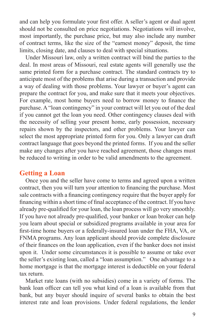and can help you formulate your first offer. A seller's agent or dual agent should not be consulted on price negotiations. Negotiations will involve, most importantly, the purchase price, but may also include any number of contract terms, like the size of the "earnest money" deposit, the time limits, closing date, and clauses to deal with special situations.

Under Missouri law, only a written contract will bind the parties to the deal. In most areas of Missouri, real estate agents will generally use the same printed form for a purchase contract. The standard contracts try to anticipate most of the problems that arise during a transaction and provide a way of dealing with those problems. Your lawyer or buyer's agent can prepare the contract for you, and make sure that it meets your objectives. For example, most home buyers need to borrow money to finance the purchase. A "loan contingency" in your contract will let you out of the deal if you cannot get the loan you need. Other contingency clauses deal with the necessity of selling your present home, early possession, necessary repairs shown by the inspectors, and other problems. Your lawyer can select the most appropriate printed form for you. Only a lawyer can draft contract language that goes beyond the printed forms. If you and the seller make any changes after you have reached agreement, those changes must be reduced to writing in order to be valid amendments to the agreement.

# **Getting a Loan**

Once you and the seller have come to terms and agreed upon a written contract, then you will turn your attention to financing the purchase. Most sale contracts with a financing contingency require that the buyer apply for financing within a short time of final acceptance of the contract. If you have already pre-qualified for your loan, the loan process will go very smoothly. If you have not already pre-qualified, your banker or loan broker can help you learn about special or subsidized programs available in your area for first-time home buyers or a federally-insured loan under the FHA, VA, or FNMA programs. Any loan applicant should provide complete disclosure of their finances on the loan application, even if the banker does not insist upon it. Under some circumstances it is possible to assume or take over the seller's existing loan, called a "loan assumption." One advantage to a home mortgage is that the mortgage interest is deductible on your federal tax return.

Market rate loans (with no subsidies) come in a variety of forms. The bank loan officer can tell you what kind of a loan is available from that bank, but any buyer should inquire of several banks to obtain the best interest rate and loan provisions. Under federal regulations, the lender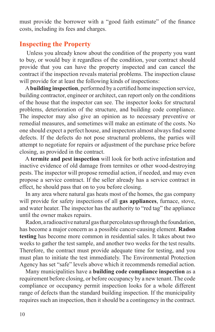must provide the borrower with a "good faith estimate" of the finance costs, including its fees and charges.

## **Inspecting the Property**

Unless you already know about the condition of the property you want to buy, or would buy it regardless of the condition, your contract should provide that you can have the property inspected and can cancel the contract if the inspection reveals material problems. The inspection clause will provide for at least the following kinds of inspections:

A **building inspection**, performed by a certified home inspection service, building contractor, engineer or architect, can report only on the conditions of the house that the inspector can see. The inspector looks for structural problems, deterioration of the structure, and building code compliance. The inspector may also give an opinion as to necessary preventive or remedial measures, and sometimes will make an estimate of the costs. No one should expect a perfect house, and inspectors almost always find some defects. If the defects do not pose structural problems, the parties will attempt to negotiate for repairs or adjustment of the purchase price before closing, as provided in the contract.

A **termite and pest inspection** will look for both active infestation and inactive evidence of old damage from termites or other wood-destroying pests. The inspector will propose remedial action, if needed, and may even propose a service contract. If the seller already has a service contract in effect, he should pass that on to you before closing.

In any area where natural gas heats most of the homes, the gas company will provide for safety inspections of all **gas appliances**, furnace, stove, and water heater. The inspector has the authority to "red tag" the appliance until the owner makes repairs.

Radon, a radioactive natural gas that percolates up through the foundation, has become a major concern as a possible cancer-causing element. **Radon testing** has become more common in residential sales. It takes about two weeks to gather the test sample, and another two weeks for the test results. Therefore, the contract must provide adequate time for testing, and you must plan to initiate the test immediately. The Environmental Protection Agency has set "safe" levels above which it recommends remedial action.

Many municipalities have a **building code compliance inspection** as a requirement before closing, or before occupancy by a new tenant. The code compliance or occupancy permit inspection looks for a whole different range of defects than the standard building inspection. If the municipality requires such an inspection, then it should be a contingency in the contract.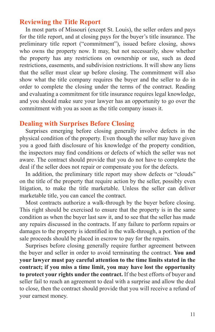## **Reviewing the Title Report**

In most parts of Missouri (except St. Louis), the seller orders and pays for the title report, and at closing pays for the buyer's title insurance. The preliminary title report ("commitment"), issued before closing, shows who owns the property now. It may, but not necessarily, show whether the property has any restrictions on ownership or use, such as deed restrictions, easements, and subdivision restrictions. It will show any liens that the seller must clear up before closing. The commitment will also show what the title company requires the buyer and the seller to do in order to complete the closing under the terms of the contract. Reading and evaluating a commitment for title insurance requires legal knowledge, and you should make sure your lawyer has an opportunity to go over the commitment with you as soon as the title company issues it.

## **Dealing with Surprises Before Closing**

Surprises emerging before closing generally involve defects in the physical condition of the property. Even though the seller may have given you a good faith disclosure of his knowledge of the property condition, the inspectors may find conditions or defects of which the seller was not aware. The contract should provide that you do not have to complete the deal if the seller does not repair or compensate you for the defects.

In addition, the preliminary title report may show defects or "clouds" on the title of the property that require action by the seller, possibly even litigation, to make the title marketable. Unless the seller can deliver marketable title, you can cancel the contract.

Most contracts authorize a walk-through by the buyer before closing. This right should be exercised to ensure that the property is in the same condition as when the buyer last saw it, and to see that the seller has made any repairs discussed in the contracts. If any failure to perform repairs or damages to the property is identified in the walk-through, a portion of the sale proceeds should be placed in escrow to pay for the repairs.

Surprises before closing generally require further agreement between the buyer and seller in order to avoid terminating the contract. **You and your lawyer must pay careful attention to the time limits stated in the contract; if you miss a time limit, you may have lost the opportunity to protect your rights under the contract.** If the best efforts of buyer and seller fail to reach an agreement to deal with a surprise and allow the deal to close, then the contract should provide that you will receive a refund of your earnest money.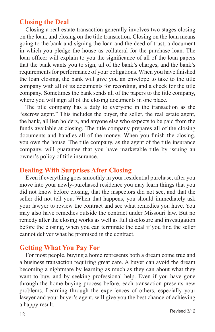## **Closing the Deal**

Closing a real estate transaction generally involves two stages closing on the loan, and closing on the title transaction. Closing on the loan means going to the bank and signing the loan and the deed of trust, a document in which you pledge the house as collateral for the purchase loan. The loan officer will explain to you the significance of all of the loan papers that the bank wants you to sign, all of the bank's charges, and the bank's requirements for performance of your obligations. When you have finished the loan closing, the bank will give you an envelope to take to the title company with all of its documents for recording, and a check for the title company. Sometimes the bank sends all of the papers to the title company, where you will sign all of the closing documents in one place.

The title company has a duty to everyone in the transaction as the "escrow agent." This includes the buyer, the seller, the real estate agent, the bank, all lien holders, and anyone else who expects to be paid from the funds available at closing. The title company prepares all of the closing documents and handles all of the money. When you finish the closing, you own the house. The title company, as the agent of the title insurance company, will guarantee that you have marketable title by issuing an owner's policy of title insurance.

## **Dealing With Surprises After Closing**

Even if everything goes smoothly in your residential purchase, after you move into your newly-purchased residence you may learn things that you did not know before closing, that the inspectors did not see, and that the seller did not tell you. When that happens, you should immediately ask your lawyer to review the contract and see what remedies you have. You may also have remedies outside the contract under Missouri law. But no remedy after the closing works as well as full disclosure and investigation before the closing, when you can terminate the deal if you find the seller cannot deliver what he promised in the contract.

## **Getting What You Pay For**

For most people, buying a home represents both a dream come true and a business transaction requiring great care. A buyer can avoid the dream becoming a nightmare by learning as much as they can about what they want to buy, and by seeking professional help. Even if you have gone through the home-buying process before, each transaction presents new problems. Learning through the experiences of others, especially your lawyer and your buyer's agent, will give you the best chance of achieving a happy result.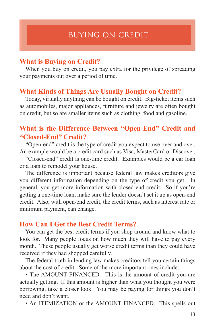## **What is Buying on Credit?**

When you buy on credit, you pay extra for the privilege of spreading your payments out over a period of time.

#### **What Kinds of Things Are Usually Bought on Credit?**

Today, virtually anything can be bought on credit. Big-ticket items such as automobiles, major appliances, furniture and jewelry are often bought on credit, but so are smaller items such as clothing, food and gasoline.

# **What is the Difference Between "Open-End" Credit and "Closed-End" Credit?**

"Open-end" credit is the type of credit you expect to use over and over. An example would be a credit card such as Visa, MasterCard or Discover.

"Closed-end" credit is one-time credit. Examples would be a car loan or a loan to remodel your house.

The difference is important because federal law makes creditors give you different information depending on the type of credit you get. In general, you get more information with closed-end credit. So if you're getting a one-time loan, make sure the lender doesn't set it up as open-end credit. Also, with open-end credit, the credit terms, such as interest rate or minimum payment, can change.

#### **How Can I Get the Best Credit Terms?**

You can get the best credit terms if you shop around and know what to look for. Many people focus on how much they will have to pay every month. These people usually get worse credit terms than they could have received if they had shopped carefully.

The federal truth in lending law makes creditors tell you certain things about the cost of credit. Some of the more important ones include:

• The AMOUNT FINANCED. This is the amount of credit you are actually getting. If this amount is higher than what you thought you were borrowing, take a closer look. You may be paying for things you don't need and don't want.

• An ITEMIZATION or the AMOUNT FINANCED. This spells out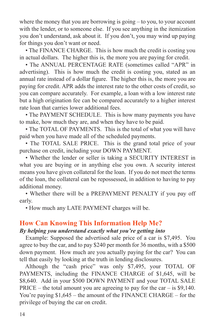where the money that you are borrowing is going – to you, to your account with the lender, or to someone else. If you see anything in the itemization you don't understand, ask about it. If you don't, you may wind up paying for things you don't want or need.

• The FINANCE CHARGE. This is how much the credit is costing you in actual dollars. The higher this is, the more you are paying for credit.

• The ANNUAL PERCENTAGE RATE (sometimes called "APR" in advertising). This is how much the credit is costing you, stated as an annual rate instead of a dollar figure. The higher this is, the more you are paying for credit. APR adds the interest rate to the other costs of credit, so you can compare accurately. For example, a loan with a low interest rate but a high origination fee can be compared accurately to a higher interest rate loan that carries lower additional fees.

• The PAYMENT SCHEDULE. This is how many payments you have to make, how much they are, and when they have to be paid.

• The TOTAL OF PAYMENTS. This is the total of what you will have paid when you have made all of the scheduled payments.

• The TOTAL SALE PRICE. This is the grand total price of your purchase on credit, including your DOWN PAYMENT.

• Whether the lender or seller is taking a SECURITY INTEREST in what you are buying or in anything else you own. A security interest means you have given collateral for the loan. If you do not meet the terms of the loan, the collateral can be repossessed, in addition to having to pay additional money.

• Whether there will be a PREPAYMENT PENALTY if you pay off early.

• How much any LATE PAYMENT charges will be.

# **How Can Knowing This Information Help Me?**

# *By helping you understand exactly what you're getting into*

Example: Supposed the advertised sale price of a car is \$7,495. You agree to buy the car, and to pay \$240 per month for 36 months, with a \$500 down payment. How much are you actually paying for the car? You can tell that easily by looking at the truth in lending disclosures.

Although the "cash price" was only \$7,495, your TOTAL OF PAYMENTS, including the FINANCE CHARGE of \$1,645, will be \$8,640. Add in your \$500 DOWN PAYMENT and your TOTAL SALE  $PRICE - the total amount you are agreeing to pay for the car – is $9,140.$ You're paying \$1,645 – the amount of the FINANCE CHARGE – for the privilege of buying the car on credit.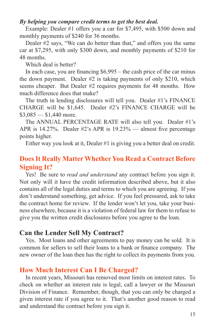#### *By helping you compare credit terms to get the best deal.*

Example: Dealer #1 offers you a car for \$7,495, with \$500 down and monthly payments of \$240 for 36 months.

Dealer #2 says, "We can do better than that," and offers you the same car at \$7,295, with only \$300 down, and monthly payments of \$210 for 48 months.

Which deal is better?

In each case, you are financing \$6,995 – the cash price of the car minus the down payment. Dealer #2 is taking payments of only \$210, which seems cheaper. But Dealer #2 requires payments for 48 months. How much difference does that make?

The truth in lending disclosures will tell you. Dealer #1's FINANCE CHARGE will be \$1,645. Dealer #2's FINANCE CHARGE will be  $$3,085 - $1,440$  more.

The ANNUAL PERCENTAGE RATE will also tell you. Dealer #1's APR is 14.27%. Dealer  $#2$ 's APR is 19.23% — almost five percentage points higher.

Either way you look at it, Dealer #1 is giving you a better deal on credit.

# **Does It Really Matter Whether You Read a Contract Before Signing It?**

Yes! Be sure to *read and understand* any contract before you sign it. Not only will it have the credit information described above, but it also contains all of the legal duties and terms to which you are agreeing. If you don't understand something, get advice. If you feel pressured, ask to take the contract home for review. If the lender won't let you, take your business elsewhere, because it is a violation of federal law for them to refuse to give you the written credit disclosures before you agree to the loan.

# **Can the Lender Sell My Contract?**

Yes. Most loans and other agreements to pay money can be sold. It is common for sellers to sell their loans to a bank or finance company. The new owner of the loan then has the right to collect its payments from you.

# **How Much Interest Can I Be Charged?**

In recent years, Missouri has removed most limits on interest rates. To check on whether an interest rate is legal, call a lawyer or the Missouri Division of Finance. Remember, though, that you can only be charged a given interest rate if you agree to it. That's another good reason to read and understand the contract before you sign it.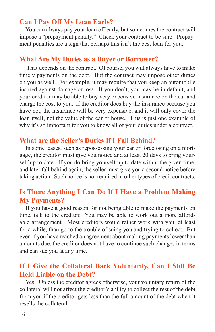# **Can I Pay Off My Loan Early?**

You can always pay your loan off early, but sometimes the contract will impose a "prepayment penalty." Check your contract to be sure. Prepayment penalties are a sign that perhaps this isn't the best loan for you.

# **What Are My Duties as a Buyer or Borrower?**

That depends on the contract. Of course, you will always have to make timely payments on the debt. But the contract may impose other duties on you as well. For example, it may require that you keep an automobile insured against damage or loss. If you don't, you may be in default, and your creditor may be able to buy very expensive insurance on the car and charge the cost to you. If the creditor does buy the insurance because you have not, the insurance will be very expensive, and it will only cover the loan itself, not the value of the car or house. This is just one example of why it's so important for you to know all of your duties under a contract.

# **What are the Seller's Duties If I Fall Behind?**

In some cases, such as repossessing your car or foreclosing on a mortgage, the creditor must give you notice and at least 20 days to bring yourself up to date. If you do bring yourself up to date within the given time, and later fall behind again, the seller must give you a second notice before taking action. Such notice is not required in other types of credit contracts.

# **Is There Anything I Can Do If I Have a Problem Making My Payments?**

If you have a good reason for not being able to make the payments on time, talk to the creditor. You may be able to work out a more affordable arrangement. Most creditors would rather work with you, at least for a while, than go to the trouble of suing you and trying to collect. But even if you have reached an agreement about making payments lower than amounts due, the creditor does not have to continue such changes in terms and can sue you at any time.

# **If I Give the Collateral Back Voluntarily, Can I Still Be Held Liable on the Debt?**

Yes. Unless the creditor agrees otherwise, your voluntary return of the collateral will not affect the creditor's ability to collect the rest of the debt from you if the creditor gets less than the full amount of the debt when it resells the collateral.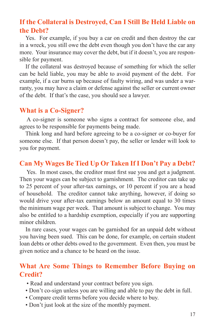# **If the Collateral is Destroyed, Can I Still Be Held Liable on the Debt?**

Yes. For example, if you buy a car on credit and then destroy the car in a wreck, you still owe the debt even though you don't have the car any more. Your insurance may cover the debt, but if it doesn't, you are responsible for payment.

If the collateral was destroyed because of something for which the seller can be held liable, you may be able to avoid payment of the debt. For example, if a car burns up because of faulty wiring, and was under a warranty, you may have a claim or defense against the seller or current owner of the debt. If that's the case, you should see a lawyer.

## **What is a Co-Signer?**

A co-signer is someone who signs a contract for someone else, and agrees to be responsible for payments being made.

Think long and hard before agreeing to be a co-signer or co-buyer for someone else. If that person doesn't pay, the seller or lender will look to you for payment.

# **Can My Wages Be Tied Up Or Taken If I Don't Pay a Debt?**

Yes. In most cases, the creditor must first sue you and get a judgment. Then your wages can be subject to garnishment. The creditor can take up to 25 percent of your after-tax earnings, or 10 percent if you are a head of household. The creditor cannot take anything, however, if doing so would drive your after-tax earnings below an amount equal to 30 times the minimum wage per week. That amount is subject to change. You may also be entitled to a hardship exemption, especially if you are supporting minor children.

In rare cases, your wages can be garnished for an unpaid debt without you having been sued. This can be done, for example, on certain student loan debts or other debts owed to the government. Even then, you must be given notice and a chance to be heard on the issue.

# **What Are Some Things to Remember Before Buying on Credit?**

- Read and understand your contract before you sign.
- Don't co-sign unless you are willing and able to pay the debt in full.
- Compare credit terms before you decide where to buy.
- Don't just look at the size of the monthly payment.